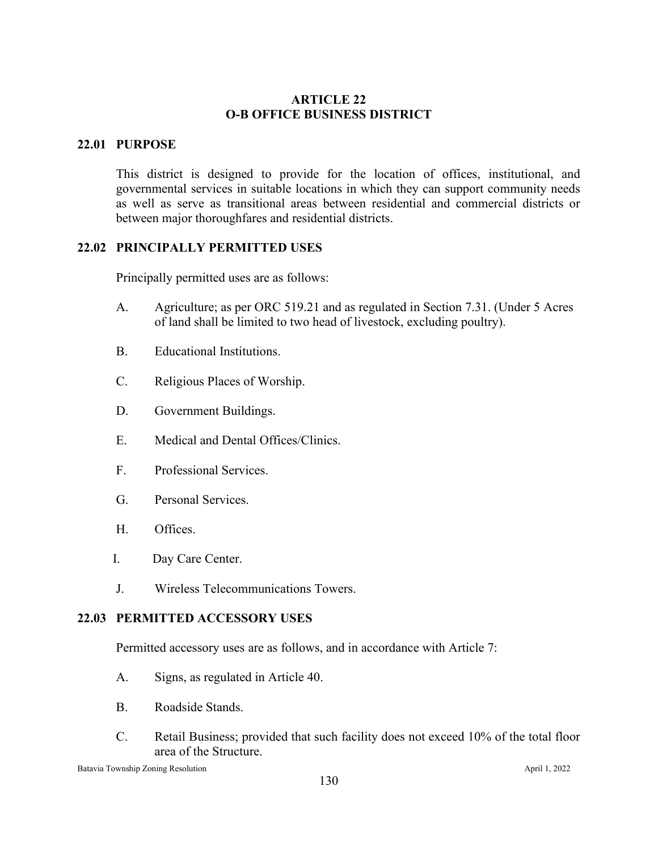# **ARTICLE 22 O-B OFFICE BUSINESS DISTRICT**

# **22.01 PURPOSE**

This district is designed to provide for the location of offices, institutional, and governmental services in suitable locations in which they can support community needs as well as serve as transitional areas between residential and commercial districts or between major thoroughfares and residential districts.

## **22.02 PRINCIPALLY PERMITTED USES**

Principally permitted uses are as follows:

- A. Agriculture; as per ORC 519.21 and as regulated in Section 7.31. (Under 5 Acres of land shall be limited to two head of livestock, excluding poultry).
- B. Educational Institutions.
- C. Religious Places of Worship.
- D. Government Buildings.
- E. Medical and Dental Offices/Clinics.
- F. Professional Services.
- G. Personal Services.
- H. Offices.
- I. Day Care Center.
- J. Wireless Telecommunications Towers.

## **22.03 PERMITTED ACCESSORY USES**

Permitted accessory uses are as follows, and in accordance with Article 7:

- A. Signs, as regulated in Article 40.
- B. Roadside Stands.
- C. Retail Business; provided that such facility does not exceed 10% of the total floor area of the Structure.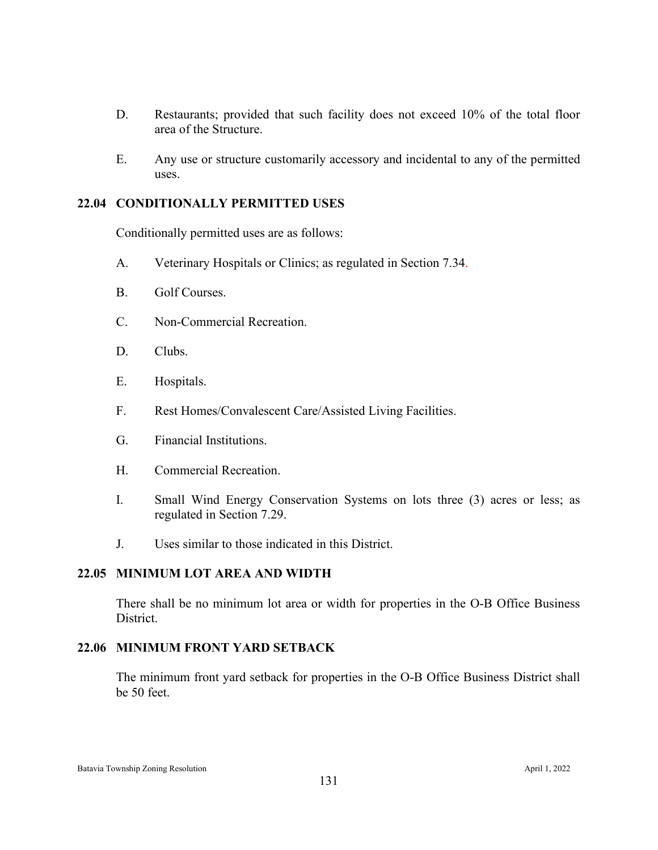- D. Restaurants; provided that such facility does not exceed 10% of the total floor area of the Structure.
- E. Any use or structure customarily accessory and incidental to any of the permitted uses.

## **22.04 CONDITIONALLY PERMITTED USES**

Conditionally permitted uses are as follows:

- A. Veterinary Hospitals or Clinics; as regulated in Section 7.34.
- B. Golf Courses.
- C. Non-Commercial Recreation.
- D. Clubs.
- E. Hospitals.
- F. Rest Homes/Convalescent Care/Assisted Living Facilities.
- G. Financial Institutions.
- H. Commercial Recreation.
- I. Small Wind Energy Conservation Systems on lots three (3) acres or less; as regulated in Section 7.29.
- J. Uses similar to those indicated in this District.

### **22.05 MINIMUM LOT AREA AND WIDTH**

There shall be no minimum lot area or width for properties in the O-B Office Business District.

#### **22.06 MINIMUM FRONT YARD SETBACK**

The minimum front yard setback for properties in the O-B Office Business District shall be 50 feet.